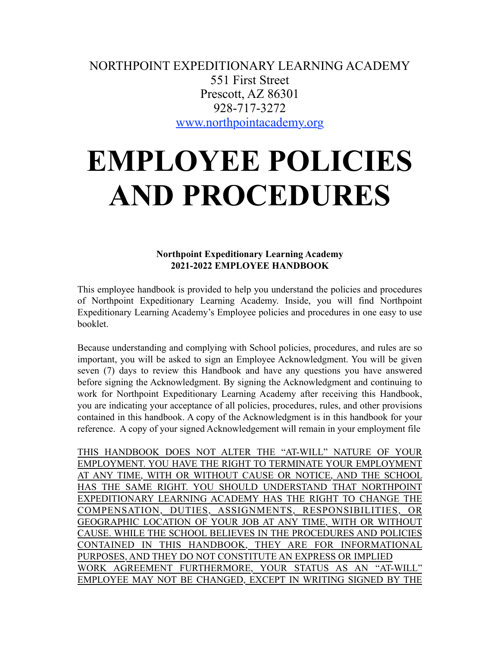NORTHPOINT EXPEDITIONARY LEARNING ACADEMY 551 First Street Prescott, AZ 86301 928-717-3272 [www.northpointacademy.org](http://www.northpointacademy.org/)

# **EMPLOYEE POLICIES AND PROCEDURES**

**Northpoint Expeditionary Learning Academy 2021-2022 EMPLOYEE HANDBOOK**

This employee handbook is provided to help you understand the policies and procedures of Northpoint Expeditionary Learning Academy. Inside, you will find Northpoint Expeditionary Learning Academy's Employee policies and procedures in one easy to use booklet.

Because understanding and complying with School policies, procedures, and rules are so important, you will be asked to sign an Employee Acknowledgment. You will be given seven (7) days to review this Handbook and have any questions you have answered before signing the Acknowledgment. By signing the Acknowledgment and continuing to work for Northpoint Expeditionary Learning Academy after receiving this Handbook, you are indicating your acceptance of all policies, procedures, rules, and other provisions contained in this handbook. A copy of the Acknowledgment is in this handbook for your reference. A copy of your signed Acknowledgement will remain in your employment file

THIS HANDBOOK DOES NOT ALTER THE "AT-WILL" NATURE OF YOUR EMPLOYMENT. YOU HAVE THE RIGHT TO TERMINATE YOUR EMPLOYMENT AT ANY TIME, WITH OR WITHOUT CAUSE OR NOTICE, AND THE SCHOOL HAS THE SAME RIGHT. YOU SHOULD UNDERSTAND THAT NORTHPOINT EXPEDITIONARY LEARNING ACADEMY HAS THE RIGHT TO CHANGE THE COMPENSATION, DUTIES, ASSIGNMENTS, RESPONSIBILITIES, OR GEOGRAPHIC LOCATION OF YOUR JOB AT ANY TIME, WITH OR WITHOUT CAUSE. WHILE THE SCHOOL BELIEVES IN THE PROCEDURES AND POLICIES CONTAINED IN THIS HANDBOOK, THEY ARE FOR INFORMATIONAL PURPOSES, AND THEY DO NOT CONSTITUTE AN EXPRESS OR IMPLIED WORK AGREEMENT FURTHERMORE, YOUR STATUS AS AN "AT-WILL" EMPLOYEE MAY NOT BE CHANGED, EXCEPT IN WRITING SIGNED BY THE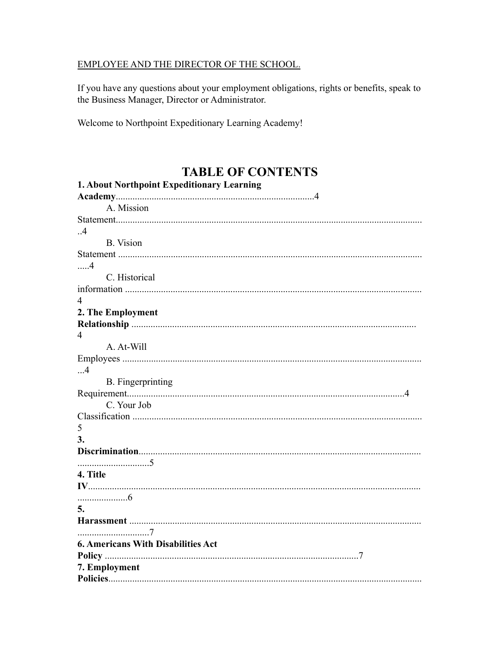#### EMPLOYEE AND THE DIRECTOR OF THE SCHOOL.

If you have any questions about your employment obligations, rights or benefits, speak to the Business Manager, Director or Administrator.

Welcome to Northpoint Expeditionary Learning Academy!

# TABLE OF CONTENTS

| 1. About Northpoint Expeditionary Learning |
|--------------------------------------------|
|                                            |
| A. Mission                                 |
|                                            |
| $\overline{4}$                             |
| <b>B.</b> Vision                           |
|                                            |
| $\dots 4$                                  |
| C. Historical                              |
|                                            |
| $\overline{4}$                             |
| 2. The Employment                          |
|                                            |
| 4                                          |
| A. At-Will                                 |
|                                            |
| . 4                                        |
| <b>B.</b> Fingerprinting                   |
|                                            |
| C. Your Job                                |
|                                            |
| 5                                          |
| 3.                                         |
|                                            |
|                                            |
| 4. Title                                   |
|                                            |
|                                            |
| 5.                                         |
|                                            |
|                                            |
| <b>6. Americans With Disabilities Act</b>  |
|                                            |
| 7. Employment                              |
|                                            |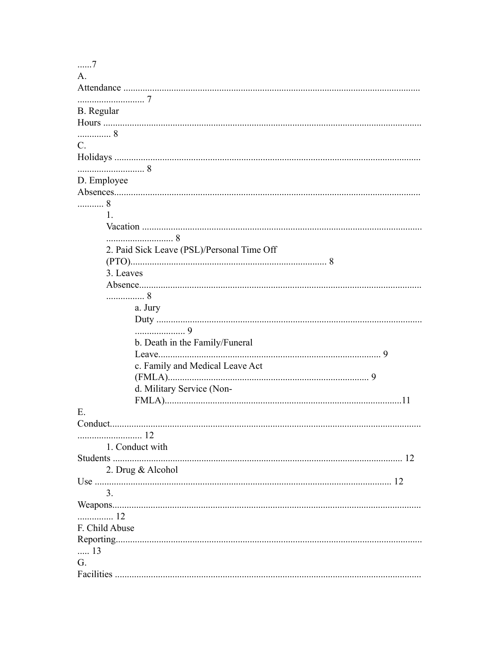| 7                                          |
|--------------------------------------------|
| $\mathsf{A}$                               |
|                                            |
|                                            |
| B. Regular                                 |
|                                            |
| 8                                          |
| $C_{\cdot}$                                |
|                                            |
|                                            |
| D. Employee                                |
|                                            |
| . 8                                        |
| $\mathbf{1}$ .                             |
|                                            |
|                                            |
|                                            |
| 2. Paid Sick Leave (PSL)/Personal Time Off |
|                                            |
| 3. Leaves                                  |
|                                            |
| . 8                                        |
| a. Jury                                    |
|                                            |
| . 9                                        |
| b. Death in the Family/Funeral             |
|                                            |
| c. Family and Medical Leave Act            |
|                                            |
| d. Military Service (Non-                  |
|                                            |
| Е.                                         |
|                                            |
|                                            |
| 1. Conduct with                            |
|                                            |
| 2. Drug & Alcohol                          |
|                                            |
| 3 <sub>1</sub>                             |
|                                            |
| 12                                         |
| F. Child Abuse                             |
|                                            |
| $\ldots$ 13                                |
| G.                                         |
|                                            |
|                                            |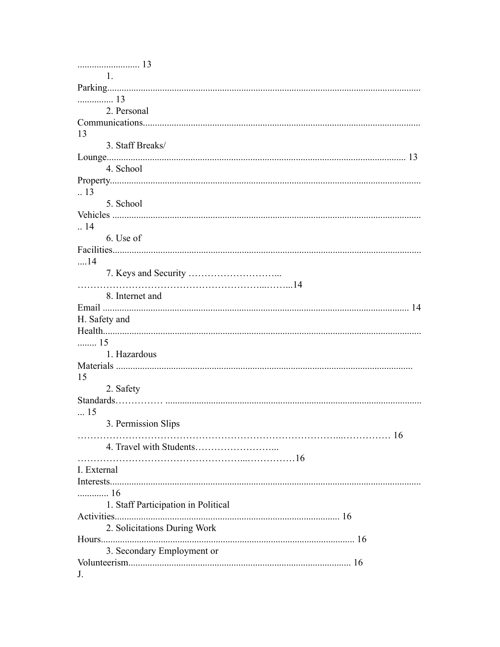| 1.                                  |
|-------------------------------------|
|                                     |
|                                     |
| 2. Personal                         |
|                                     |
| 13                                  |
| 3. Staff Breaks/                    |
|                                     |
| 4. School                           |
|                                     |
| $\therefore$ 13                     |
| 5. School                           |
|                                     |
| .14                                 |
| 6. Use of                           |
|                                     |
| $\dots$ 14                          |
|                                     |
|                                     |
| 8. Internet and                     |
|                                     |
| H. Safety and                       |
|                                     |
| 15                                  |
| 1. Hazardous                        |
|                                     |
|                                     |
|                                     |
| 15                                  |
| 2. Safety                           |
|                                     |
| $\dots$ 15                          |
| 3. Permission Slips                 |
|                                     |
|                                     |
|                                     |
| I. External                         |
|                                     |
| 16                                  |
| 1. Staff Participation in Political |
|                                     |
| 2. Solicitations During Work        |
|                                     |
| 3. Secondary Employment or          |
| J.                                  |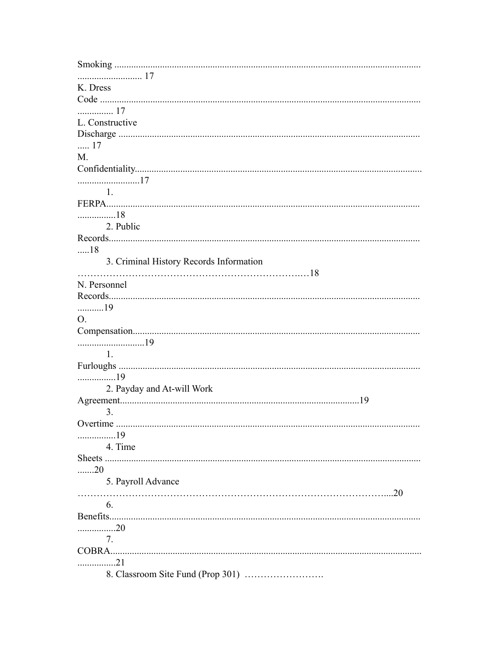| K. Dress                                         |
|--------------------------------------------------|
|                                                  |
| 17                                               |
| L. Constructive                                  |
|                                                  |
| 17                                               |
| M.                                               |
|                                                  |
| 17                                               |
| $\sim$ $\sim$ $\sim$ $\sim$ $\sim$ $\sim$ $\sim$ |
|                                                  |
| 18                                               |
| 2. Public                                        |
|                                                  |
| 18                                               |
| 3. Criminal History Records Information          |
|                                                  |
| N. Personnel                                     |
|                                                  |
| 19                                               |
| $\Omega$                                         |
|                                                  |
|                                                  |
|                                                  |
| $\overline{1}$ .                                 |
|                                                  |
| 19                                               |
| 2. Payday and At-will Work                       |
|                                                  |
| 3.                                               |
| Overtime                                         |
| 19                                               |
| 4. Time                                          |
|                                                  |
| $\ldots$ 20                                      |
| 5. Payroll Advance                               |
|                                                  |
| 6.                                               |
|                                                  |
| 20                                               |
| 7.                                               |
|                                                  |
| . 21                                             |
|                                                  |
|                                                  |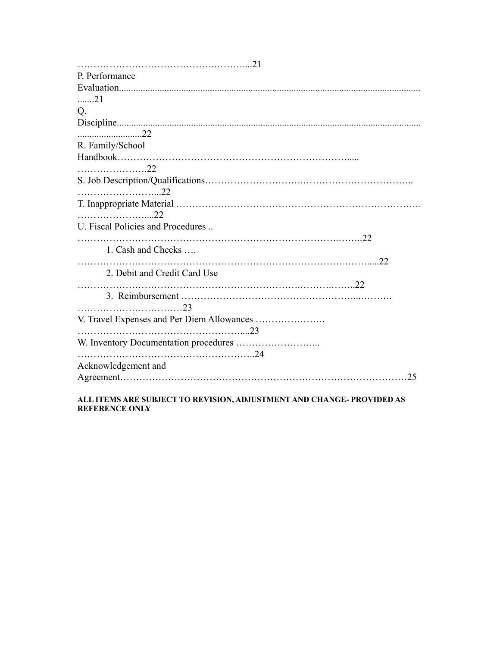| P. Performance                    |
|-----------------------------------|
|                                   |
| 21                                |
| Q.                                |
|                                   |
|                                   |
| R. Family/School                  |
|                                   |
|                                   |
|                                   |
|                                   |
|                                   |
| U. Fiscal Policies and Procedures |
|                                   |
| 1. Cash and Checks                |
|                                   |
| 2. Debit and Credit Card Use      |
|                                   |
|                                   |
|                                   |
|                                   |
|                                   |
|                                   |
|                                   |
| Acknowledgement and               |
| 25                                |
|                                   |

#### **ALL ITEMS ARE SUBJECT TO REVISION, ADJUSTMENT AND CHANGE- PROVIDED AS REFERENCE ONLY**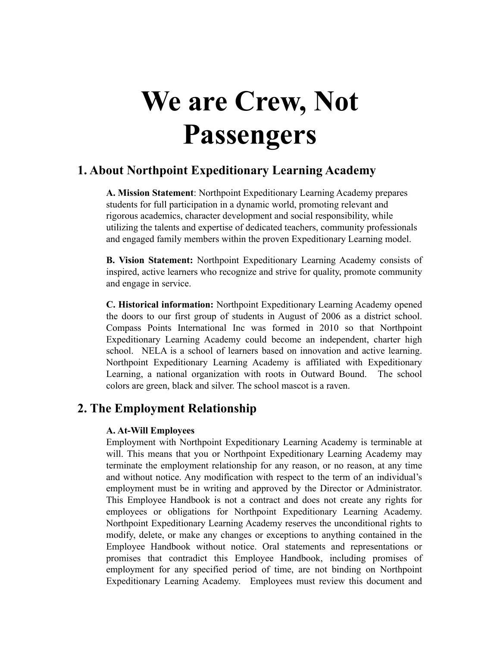# **We are Crew, Not Passengers**

# **1. About Northpoint Expeditionary Learning Academy**

**A. Mission Statement**: Northpoint Expeditionary Learning Academy prepares students for full participation in a dynamic world, promoting relevant and rigorous academics, character development and social responsibility, while utilizing the talents and expertise of dedicated teachers, community professionals and engaged family members within the proven Expeditionary Learning model.

**B. Vision Statement:** Northpoint Expeditionary Learning Academy consists of inspired, active learners who recognize and strive for quality, promote community and engage in service.

**C. Historical information:** Northpoint Expeditionary Learning Academy opened the doors to our first group of students in August of 2006 as a district school. Compass Points International Inc was formed in 2010 so that Northpoint Expeditionary Learning Academy could become an independent, charter high school. NELA is a school of learners based on innovation and active learning. Northpoint Expeditionary Learning Academy is affiliated with Expeditionary Learning, a national organization with roots in Outward Bound. The school colors are green, black and silver. The school mascot is a raven.

# **2. The Employment Relationship**

#### **A. At-Will Employees**

Employment with Northpoint Expeditionary Learning Academy is terminable at will. This means that you or Northpoint Expeditionary Learning Academy may terminate the employment relationship for any reason, or no reason, at any time and without notice. Any modification with respect to the term of an individual's employment must be in writing and approved by the Director or Administrator. This Employee Handbook is not a contract and does not create any rights for employees or obligations for Northpoint Expeditionary Learning Academy. Northpoint Expeditionary Learning Academy reserves the unconditional rights to modify, delete, or make any changes or exceptions to anything contained in the Employee Handbook without notice. Oral statements and representations or promises that contradict this Employee Handbook, including promises of employment for any specified period of time, are not binding on Northpoint Expeditionary Learning Academy. Employees must review this document and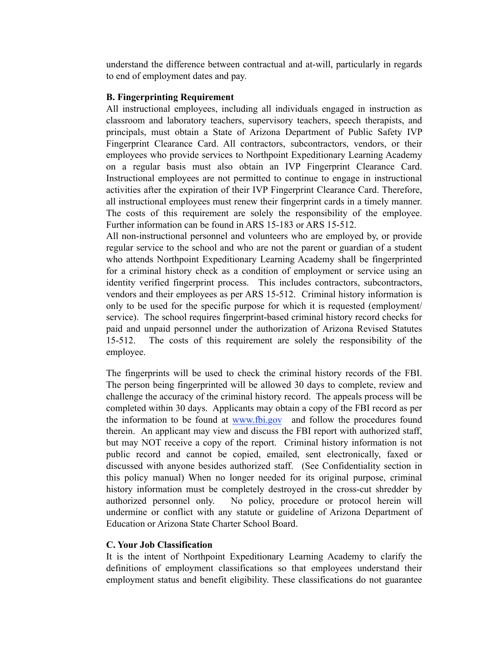understand the difference between contractual and at-will, particularly in regards to end of employment dates and pay.

#### **B. Fingerprinting Requirement**

All instructional employees, including all individuals engaged in instruction as classroom and laboratory teachers, supervisory teachers, speech therapists, and principals, must obtain a State of Arizona Department of Public Safety IVP Fingerprint Clearance Card. All contractors, subcontractors, vendors, or their employees who provide services to Northpoint Expeditionary Learning Academy on a regular basis must also obtain an IVP Fingerprint Clearance Card. Instructional employees are not permitted to continue to engage in instructional activities after the expiration of their IVP Fingerprint Clearance Card. Therefore, all instructional employees must renew their fingerprint cards in a timely manner. The costs of this requirement are solely the responsibility of the employee. Further information can be found in ARS 15-183 or ARS 15-512.

All non-instructional personnel and volunteers who are employed by, or provide regular service to the school and who are not the parent or guardian of a student who attends Northpoint Expeditionary Learning Academy shall be fingerprinted for a criminal history check as a condition of employment or service using an identity verified fingerprint process. This includes contractors, subcontractors, vendors and their employees as per ARS 15-512. Criminal history information is only to be used for the specific purpose for which it is requested (employment/ service). The school requires fingerprint-based criminal history record checks for paid and unpaid personnel under the authorization of Arizona Revised Statutes 15-512. The costs of this requirement are solely the responsibility of the employee.

The fingerprints will be used to check the criminal history records of the FBI. The person being fingerprinted will be allowed 30 days to complete, review and challenge the accuracy of the criminal history record. The appeals process will be completed within 30 days. Applicants may obtain a copy of the FBI record as per the information to be found at [www.fbi.gov](http://www.fbi.gov/) and follow the procedures found therein. An applicant may view and discuss the FBI report with authorized staff, but may NOT receive a copy of the report. Criminal history information is not public record and cannot be copied, emailed, sent electronically, faxed or discussed with anyone besides authorized staff. (See Confidentiality section in this policy manual) When no longer needed for its original purpose, criminal history information must be completely destroyed in the cross-cut shredder by authorized personnel only. No policy, procedure or protocol herein will undermine or conflict with any statute or guideline of Arizona Department of Education or Arizona State Charter School Board.

#### **C. Your Job Classification**

It is the intent of Northpoint Expeditionary Learning Academy to clarify the definitions of employment classifications so that employees understand their employment status and benefit eligibility. These classifications do not guarantee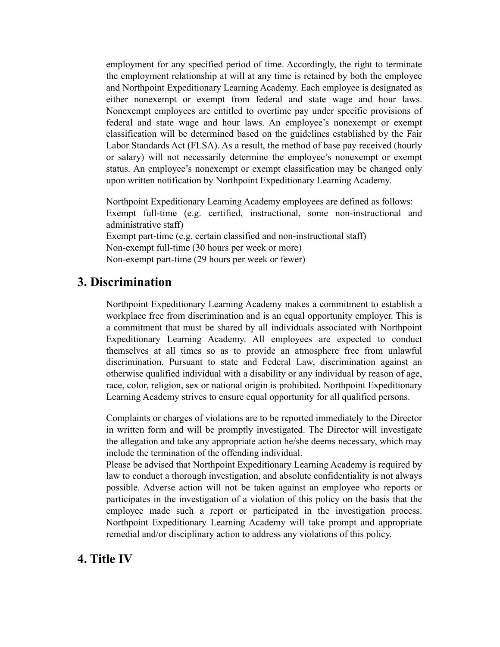employment for any specified period of time. Accordingly, the right to terminate the employment relationship at will at any time is retained by both the employee and Northpoint Expeditionary Learning Academy. Each employee is designated as either nonexempt or exempt from federal and state wage and hour laws. Nonexempt employees are entitled to overtime pay under specific provisions of federal and state wage and hour laws. An employee's nonexempt or exempt classification will be determined based on the guidelines established by the Fair Labor Standards Act (FLSA). As a result, the method of base pay received (hourly or salary) will not necessarily determine the employee's nonexempt or exempt status. An employee's nonexempt or exempt classification may be changed only upon written notification by Northpoint Expeditionary Learning Academy.

Northpoint Expeditionary Learning Academy employees are defined as follows: Exempt full-time (e.g. certified, instructional, some non-instructional and administrative staff) Exempt part-time (e.g. certain classified and non-instructional staff) Non-exempt full-time (30 hours per week or more) Non-exempt part-time (29 hours per week or fewer)

# **3. Discrimination**

Northpoint Expeditionary Learning Academy makes a commitment to establish a workplace free from discrimination and is an equal opportunity employer. This is a commitment that must be shared by all individuals associated with Northpoint Expeditionary Learning Academy. All employees are expected to conduct themselves at all times so as to provide an atmosphere free from unlawful discrimination. Pursuant to state and Federal Law, discrimination against an otherwise qualified individual with a disability or any individual by reason of age, race, color, religion, sex or national origin is prohibited. Northpoint Expeditionary Learning Academy strives to ensure equal opportunity for all qualified persons.

Complaints or charges of violations are to be reported immediately to the Director in written form and will be promptly investigated. The Director will investigate the allegation and take any appropriate action he/she deems necessary, which may include the termination of the offending individual.

Please be advised that Northpoint Expeditionary Learning Academy is required by law to conduct a thorough investigation, and absolute confidentiality is not always possible. Adverse action will not be taken against an employee who reports or participates in the investigation of a violation of this policy on the basis that the employee made such a report or participated in the investigation process. Northpoint Expeditionary Learning Academy will take prompt and appropriate remedial and/or disciplinary action to address any violations of this policy.

# **4. Title IV**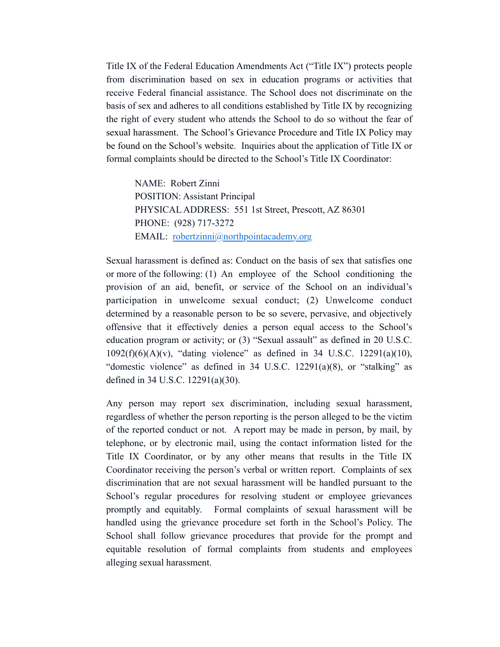Title IX of the Federal Education Amendments Act ("Title IX") protects people from discrimination based on sex in education programs or activities that receive Federal financial assistance. The School does not discriminate on the basis of sex and adheres to all conditions established by Title IX by recognizing the right of every student who attends the School to do so without the fear of sexual harassment. The School's Grievance Procedure and Title IX Policy may be found on the School's website. Inquiries about the application of Title IX or formal complaints should be directed to the School's Title IX Coordinator:

NAME: Robert Zinni POSITION: Assistant Principal PHYSICAL ADDRESS: 551 1st Street, Prescott, AZ 86301 PHONE: (928) 717-3272 EMAIL: <u>[robertzinni@northpointacademy.org](mailto:robertzinni@northpointacademy.org)</u>

Sexual harassment is defined as: Conduct on the basis of sex that satisfies one or more of the following: (1) An employee of the School conditioning the provision of an aid, benefit, or service of the School on an individual's participation in unwelcome sexual conduct; (2) Unwelcome conduct determined by a reasonable person to be so severe, pervasive, and objectively offensive that it effectively denies a person equal access to the School's education program or activity; or (3) "Sexual assault" as defined in 20 U.S.C.  $1092(f)(6)(A)(v)$ , "dating violence" as defined in 34 U.S.C. 12291(a)(10), "domestic violence" as defined in  $34 \text{ U.S.C. } 12291(a)(8)$ , or "stalking" as defined in 34 U.S.C. 12291(a)(30).

Any person may report sex discrimination, including sexual harassment, regardless of whether the person reporting is the person alleged to be the victim of the reported conduct or not. A report may be made in person, by mail, by telephone, or by electronic mail, using the contact information listed for the Title IX Coordinator, or by any other means that results in the Title IX Coordinator receiving the person's verbal or written report. Complaints of sex discrimination that are not sexual harassment will be handled pursuant to the School's regular procedures for resolving student or employee grievances promptly and equitably. Formal complaints of sexual harassment will be handled using the grievance procedure set forth in the School's Policy. The School shall follow grievance procedures that provide for the prompt and equitable resolution of formal complaints from students and employees alleging sexual harassment.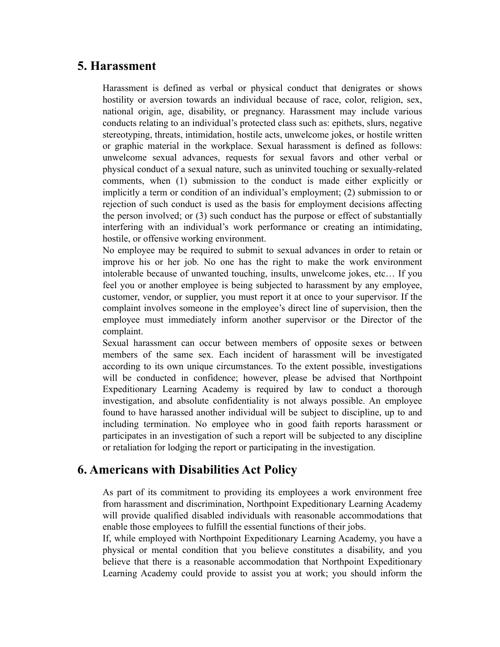# **5. Harassment**

Harassment is defined as verbal or physical conduct that denigrates or shows hostility or aversion towards an individual because of race, color, religion, sex, national origin, age, disability, or pregnancy. Harassment may include various conducts relating to an individual's protected class such as: epithets, slurs, negative stereotyping, threats, intimidation, hostile acts, unwelcome jokes, or hostile written or graphic material in the workplace. Sexual harassment is defined as follows: unwelcome sexual advances, requests for sexual favors and other verbal or physical conduct of a sexual nature, such as uninvited touching or sexually-related comments, when (1) submission to the conduct is made either explicitly or implicitly a term or condition of an individual's employment; (2) submission to or rejection of such conduct is used as the basis for employment decisions affecting the person involved; or (3) such conduct has the purpose or effect of substantially interfering with an individual's work performance or creating an intimidating, hostile, or offensive working environment.

No employee may be required to submit to sexual advances in order to retain or improve his or her job. No one has the right to make the work environment intolerable because of unwanted touching, insults, unwelcome jokes, etc… If you feel you or another employee is being subjected to harassment by any employee, customer, vendor, or supplier, you must report it at once to your supervisor. If the complaint involves someone in the employee's direct line of supervision, then the employee must immediately inform another supervisor or the Director of the complaint.

Sexual harassment can occur between members of opposite sexes or between members of the same sex. Each incident of harassment will be investigated according to its own unique circumstances. To the extent possible, investigations will be conducted in confidence; however, please be advised that Northpoint Expeditionary Learning Academy is required by law to conduct a thorough investigation, and absolute confidentiality is not always possible. An employee found to have harassed another individual will be subject to discipline, up to and including termination. No employee who in good faith reports harassment or participates in an investigation of such a report will be subjected to any discipline or retaliation for lodging the report or participating in the investigation.

### **6. Americans with Disabilities Act Policy**

As part of its commitment to providing its employees a work environment free from harassment and discrimination, Northpoint Expeditionary Learning Academy will provide qualified disabled individuals with reasonable accommodations that enable those employees to fulfill the essential functions of their jobs.

If, while employed with Northpoint Expeditionary Learning Academy, you have a physical or mental condition that you believe constitutes a disability, and you believe that there is a reasonable accommodation that Northpoint Expeditionary Learning Academy could provide to assist you at work; you should inform the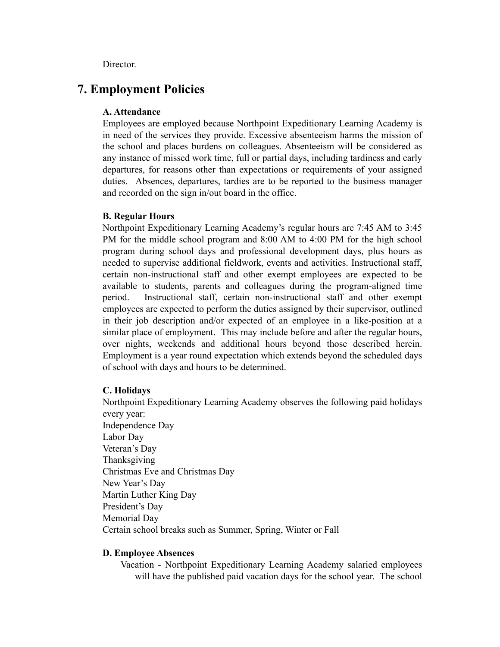Director.

# **7. Employment Policies**

#### **A. Attendance**

Employees are employed because Northpoint Expeditionary Learning Academy is in need of the services they provide. Excessive absenteeism harms the mission of the school and places burdens on colleagues. Absenteeism will be considered as any instance of missed work time, full or partial days, including tardiness and early departures, for reasons other than expectations or requirements of your assigned duties. Absences, departures, tardies are to be reported to the business manager and recorded on the sign in/out board in the office.

#### **B. Regular Hours**

Northpoint Expeditionary Learning Academy's regular hours are 7:45 AM to 3:45 PM for the middle school program and 8:00 AM to 4:00 PM for the high school program during school days and professional development days, plus hours as needed to supervise additional fieldwork, events and activities. Instructional staff, certain non-instructional staff and other exempt employees are expected to be available to students, parents and colleagues during the program-aligned time period. Instructional staff, certain non-instructional staff and other exempt employees are expected to perform the duties assigned by their supervisor, outlined in their job description and/or expected of an employee in a like-position at a similar place of employment. This may include before and after the regular hours, over nights, weekends and additional hours beyond those described herein. Employment is a year round expectation which extends beyond the scheduled days of school with days and hours to be determined.

#### **C. Holidays**

Northpoint Expeditionary Learning Academy observes the following paid holidays every year: Independence Day Labor Day Veteran's Day Thanksgiving Christmas Eve and Christmas Day New Year's Day Martin Luther King Day President's Day Memorial Day Certain school breaks such as Summer, Spring, Winter or Fall

#### **D. Employee Absences**

Vacation - Northpoint Expeditionary Learning Academy salaried employees will have the published paid vacation days for the school year. The school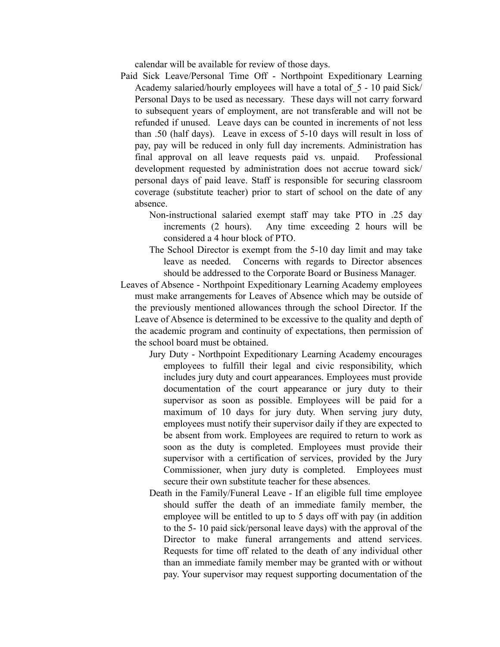calendar will be available for review of those days.

- Paid Sick Leave/Personal Time Off Northpoint Expeditionary Learning Academy salaried/hourly employees will have a total of\_5 - 10 paid Sick/ Personal Days to be used as necessary.These days will not carry forward to subsequent years of employment, are not transferable and will not be refunded if unused. Leave days can be counted in increments of not less than .50 (half days). Leave in excess of 5-10 days will result in loss of pay, pay will be reduced in only full day increments. Administration has final approval on all leave requests paid vs. unpaid. Professional development requested by administration does not accrue toward sick/ personal days of paid leave. Staff is responsible for securing classroom coverage (substitute teacher) prior to start of school on the date of any absence.
	- Non-instructional salaried exempt staff may take PTO in .25 day increments (2 hours). Any time exceeding 2 hours will be considered a 4 hour block of PTO.
	- The School Director is exempt from the 5-10 day limit and may take leave as needed. Concerns with regards to Director absences should be addressed to the Corporate Board or Business Manager.
- Leaves of Absence Northpoint Expeditionary Learning Academy employees must make arrangements for Leaves of Absence which may be outside of the previously mentioned allowances through the school Director. If the Leave of Absence is determined to be excessive to the quality and depth of the academic program and continuity of expectations, then permission of the school board must be obtained.
	- Jury Duty Northpoint Expeditionary Learning Academy encourages employees to fulfill their legal and civic responsibility, which includes jury duty and court appearances. Employees must provide documentation of the court appearance or jury duty to their supervisor as soon as possible. Employees will be paid for a maximum of 10 days for jury duty. When serving jury duty, employees must notify their supervisor daily if they are expected to be absent from work. Employees are required to return to work as soon as the duty is completed. Employees must provide their supervisor with a certification of services, provided by the Jury Commissioner, when jury duty is completed. Employees must secure their own substitute teacher for these absences.
	- Death in the Family/Funeral Leave If an eligible full time employee should suffer the death of an immediate family member, the employee will be entitled to up to 5 days off with pay (in addition to the 5- 10 paid sick/personal leave days) with the approval of the Director to make funeral arrangements and attend services. Requests for time off related to the death of any individual other than an immediate family member may be granted with or without pay. Your supervisor may request supporting documentation of the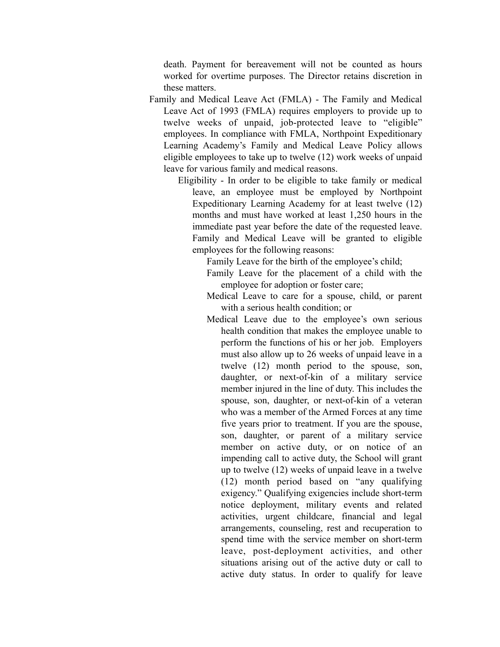death. Payment for bereavement will not be counted as hours worked for overtime purposes. The Director retains discretion in these matters.

Family and Medical Leave Act (FMLA) - The Family and Medical Leave Act of 1993 (FMLA) requires employers to provide up to twelve weeks of unpaid, job-protected leave to "eligible" employees. In compliance with FMLA, Northpoint Expeditionary Learning Academy's Family and Medical Leave Policy allows eligible employees to take up to twelve (12) work weeks of unpaid leave for various family and medical reasons.

> Eligibility - In order to be eligible to take family or medical leave, an employee must be employed by Northpoint Expeditionary Learning Academy for at least twelve (12) months and must have worked at least 1,250 hours in the immediate past year before the date of the requested leave. Family and Medical Leave will be granted to eligible employees for the following reasons:

> > Family Leave for the birth of the employee's child;

- Family Leave for the placement of a child with the employee for adoption or foster care;
- Medical Leave to care for a spouse, child, or parent with a serious health condition; or
- Medical Leave due to the employee's own serious health condition that makes the employee unable to perform the functions of his or her job. Employers must also allow up to 26 weeks of unpaid leave in a twelve (12) month period to the spouse, son, daughter, or next-of-kin of a military service member injured in the line of duty. This includes the spouse, son, daughter, or next-of-kin of a veteran who was a member of the Armed Forces at any time five years prior to treatment. If you are the spouse, son, daughter, or parent of a military service member on active duty, or on notice of an impending call to active duty, the School will grant up to twelve (12) weeks of unpaid leave in a twelve (12) month period based on "any qualifying exigency." Qualifying exigencies include short-term notice deployment, military events and related activities, urgent childcare, financial and legal arrangements, counseling, rest and recuperation to spend time with the service member on short-term leave, post-deployment activities, and other situations arising out of the active duty or call to active duty status. In order to qualify for leave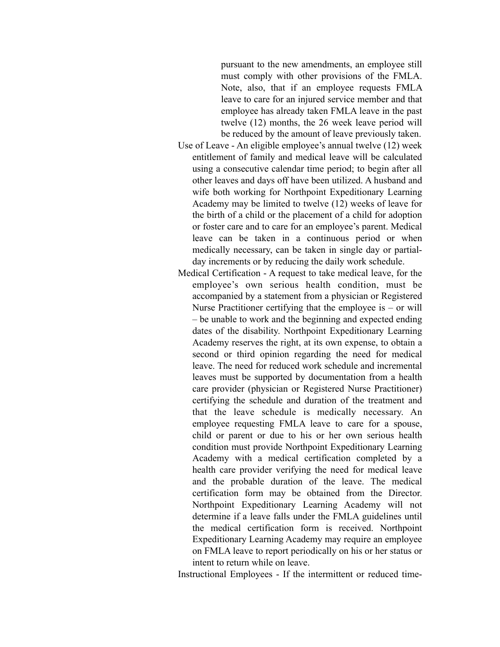pursuant to the new amendments, an employee still must comply with other provisions of the FMLA. Note, also, that if an employee requests FMLA leave to care for an injured service member and that employee has already taken FMLA leave in the past twelve (12) months, the 26 week leave period will be reduced by the amount of leave previously taken.

- Use of Leave An eligible employee's annual twelve (12) week entitlement of family and medical leave will be calculated using a consecutive calendar time period; to begin after all other leaves and days off have been utilized. A husband and wife both working for Northpoint Expeditionary Learning Academy may be limited to twelve (12) weeks of leave for the birth of a child or the placement of a child for adoption or foster care and to care for an employee's parent. Medical leave can be taken in a continuous period or when medically necessary, can be taken in single day or partialday increments or by reducing the daily work schedule.
- Medical Certification A request to take medical leave, for the employee's own serious health condition, must be accompanied by a statement from a physician or Registered Nurse Practitioner certifying that the employee is  $-$  or will – be unable to work and the beginning and expected ending dates of the disability. Northpoint Expeditionary Learning Academy reserves the right, at its own expense, to obtain a second or third opinion regarding the need for medical leave. The need for reduced work schedule and incremental leaves must be supported by documentation from a health care provider (physician or Registered Nurse Practitioner) certifying the schedule and duration of the treatment and that the leave schedule is medically necessary. An employee requesting FMLA leave to care for a spouse, child or parent or due to his or her own serious health condition must provide Northpoint Expeditionary Learning Academy with a medical certification completed by a health care provider verifying the need for medical leave and the probable duration of the leave. The medical certification form may be obtained from the Director. Northpoint Expeditionary Learning Academy will not determine if a leave falls under the FMLA guidelines until the medical certification form is received. Northpoint Expeditionary Learning Academy may require an employee on FMLA leave to report periodically on his or her status or intent to return while on leave.

Instructional Employees - If the intermittent or reduced time-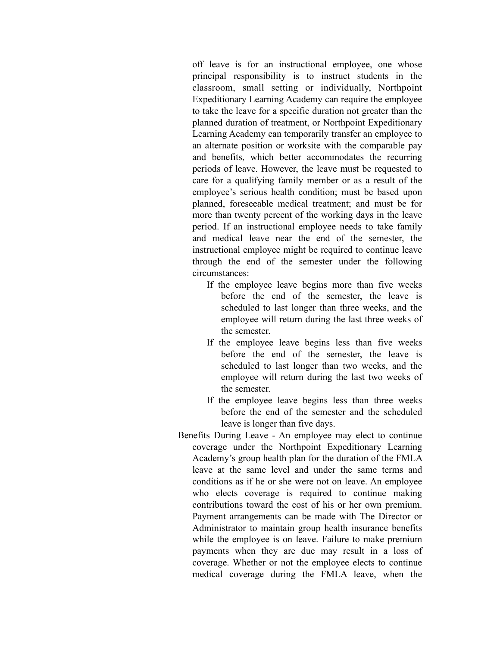off leave is for an instructional employee, one whose principal responsibility is to instruct students in the classroom, small setting or individually, Northpoint Expeditionary Learning Academy can require the employee to take the leave for a specific duration not greater than the planned duration of treatment, or Northpoint Expeditionary Learning Academy can temporarily transfer an employee to an alternate position or worksite with the comparable pay and benefits, which better accommodates the recurring periods of leave. However, the leave must be requested to care for a qualifying family member or as a result of the employee's serious health condition; must be based upon planned, foreseeable medical treatment; and must be for more than twenty percent of the working days in the leave period. If an instructional employee needs to take family and medical leave near the end of the semester, the instructional employee might be required to continue leave through the end of the semester under the following circumstances:

- If the employee leave begins more than five weeks before the end of the semester, the leave is scheduled to last longer than three weeks, and the employee will return during the last three weeks of the semester.
- If the employee leave begins less than five weeks before the end of the semester, the leave is scheduled to last longer than two weeks, and the employee will return during the last two weeks of the semester.
- If the employee leave begins less than three weeks before the end of the semester and the scheduled leave is longer than five days.
- Benefits During Leave An employee may elect to continue coverage under the Northpoint Expeditionary Learning Academy's group health plan for the duration of the FMLA leave at the same level and under the same terms and conditions as if he or she were not on leave. An employee who elects coverage is required to continue making contributions toward the cost of his or her own premium. Payment arrangements can be made with The Director or Administrator to maintain group health insurance benefits while the employee is on leave. Failure to make premium payments when they are due may result in a loss of coverage. Whether or not the employee elects to continue medical coverage during the FMLA leave, when the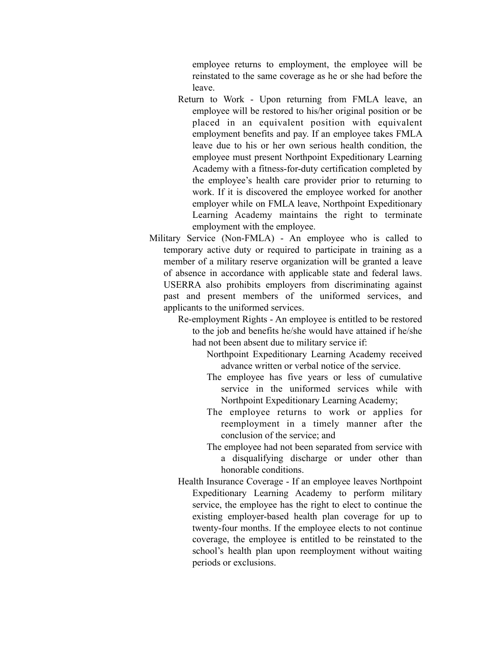employee returns to employment, the employee will be reinstated to the same coverage as he or she had before the leave.

- Return to Work Upon returning from FMLA leave, an employee will be restored to his/her original position or be placed in an equivalent position with equivalent employment benefits and pay. If an employee takes FMLA leave due to his or her own serious health condition, the employee must present Northpoint Expeditionary Learning Academy with a fitness-for-duty certification completed by the employee's health care provider prior to returning to work. If it is discovered the employee worked for another employer while on FMLA leave, Northpoint Expeditionary Learning Academy maintains the right to terminate employment with the employee.
- Military Service (Non-FMLA) An employee who is called to temporary active duty or required to participate in training as a member of a military reserve organization will be granted a leave of absence in accordance with applicable state and federal laws. USERRA also prohibits employers from discriminating against past and present members of the uniformed services, and applicants to the uniformed services.

Re-employment Rights - An employee is entitled to be restored to the job and benefits he/she would have attained if he/she had not been absent due to military service if:

> Northpoint Expeditionary Learning Academy received advance written or verbal notice of the service.

- The employee has five years or less of cumulative service in the uniformed services while with Northpoint Expeditionary Learning Academy;
- The employee returns to work or applies for reemployment in a timely manner after the conclusion of the service; and
- The employee had not been separated from service with a disqualifying discharge or under other than honorable conditions.
- Health Insurance Coverage If an employee leaves Northpoint Expeditionary Learning Academy to perform military service, the employee has the right to elect to continue the existing employer-based health plan coverage for up to twenty-four months. If the employee elects to not continue coverage, the employee is entitled to be reinstated to the school's health plan upon reemployment without waiting periods or exclusions.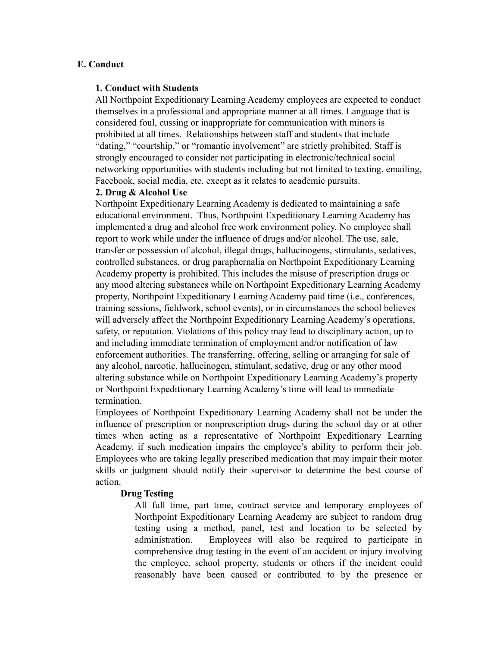#### **E. Conduct**

#### **1. Conduct with Students**

All Northpoint Expeditionary Learning Academy employees are expected to conduct themselves in a professional and appropriate manner at all times. Language that is considered foul, cussing or inappropriate for communication with minors is prohibited at all times. Relationships between staff and students that include "dating," "courtship," or "romantic involvement" are strictly prohibited. Staff is strongly encouraged to consider not participating in electronic/technical social networking opportunities with students including but not limited to texting, emailing, Facebook, social media, etc. except as it relates to academic pursuits.

#### **2. Drug & Alcohol Use**

Northpoint Expeditionary Learning Academy is dedicated to maintaining a safe educational environment. Thus, Northpoint Expeditionary Learning Academy has implemented a drug and alcohol free work environment policy. No employee shall report to work while under the influence of drugs and/or alcohol. The use, sale, transfer or possession of alcohol, illegal drugs, hallucinogens, stimulants, sedatives, controlled substances, or drug paraphernalia on Northpoint Expeditionary Learning Academy property is prohibited. This includes the misuse of prescription drugs or any mood altering substances while on Northpoint Expeditionary Learning Academy property, Northpoint Expeditionary Learning Academy paid time (i.e., conferences, training sessions, fieldwork, school events), or in circumstances the school believes will adversely affect the Northpoint Expeditionary Learning Academy's operations, safety, or reputation. Violations of this policy may lead to disciplinary action, up to and including immediate termination of employment and/or notification of law enforcement authorities. The transferring, offering, selling or arranging for sale of any alcohol, narcotic, hallucinogen, stimulant, sedative, drug or any other mood altering substance while on Northpoint Expeditionary Learning Academy's property or Northpoint Expeditionary Learning Academy's time will lead to immediate termination.

Employees of Northpoint Expeditionary Learning Academy shall not be under the influence of prescription or nonprescription drugs during the school day or at other times when acting as a representative of Northpoint Expeditionary Learning Academy, if such medication impairs the employee's ability to perform their job. Employees who are taking legally prescribed medication that may impair their motor skills or judgment should notify their supervisor to determine the best course of action.

#### **Drug Testing**

All full time, part time, contract service and temporary employees of Northpoint Expeditionary Learning Academy are subject to random drug testing using a method, panel, test and location to be selected by administration. Employees will also be required to participate in comprehensive drug testing in the event of an accident or injury involving the employee, school property, students or others if the incident could reasonably have been caused or contributed to by the presence or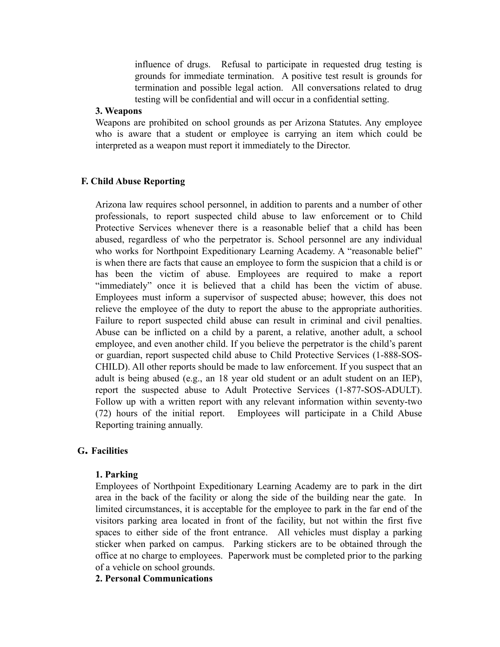influence of drugs. Refusal to participate in requested drug testing is grounds for immediate termination. A positive test result is grounds for termination and possible legal action. All conversations related to drug testing will be confidential and will occur in a confidential setting.

#### **3. Weapons**

Weapons are prohibited on school grounds as per Arizona Statutes. Any employee who is aware that a student or employee is carrying an item which could be interpreted as a weapon must report it immediately to the Director.

#### **F. Child Abuse Reporting**

Arizona law requires school personnel, in addition to parents and a number of other professionals, to report suspected child abuse to law enforcement or to Child Protective Services whenever there is a reasonable belief that a child has been abused, regardless of who the perpetrator is. School personnel are any individual who works for Northpoint Expeditionary Learning Academy. A "reasonable belief" is when there are facts that cause an employee to form the suspicion that a child is or has been the victim of abuse. Employees are required to make a report "immediately" once it is believed that a child has been the victim of abuse. Employees must inform a supervisor of suspected abuse; however, this does not relieve the employee of the duty to report the abuse to the appropriate authorities. Failure to report suspected child abuse can result in criminal and civil penalties. Abuse can be inflicted on a child by a parent, a relative, another adult, a school employee, and even another child. If you believe the perpetrator is the child's parent or guardian, report suspected child abuse to Child Protective Services (1-888-SOS-CHILD). All other reports should be made to law enforcement. If you suspect that an adult is being abused (e.g., an 18 year old student or an adult student on an IEP), report the suspected abuse to Adult Protective Services (1-877-SOS-ADULT). Follow up with a written report with any relevant information within seventy-two (72) hours of the initial report. Employees will participate in a Child Abuse Reporting training annually.

#### **G. Facilities**

#### **1. Parking**

Employees of Northpoint Expeditionary Learning Academy are to park in the dirt area in the back of the facility or along the side of the building near the gate. In limited circumstances, it is acceptable for the employee to park in the far end of the visitors parking area located in front of the facility, but not within the first five spaces to either side of the front entrance. All vehicles must display a parking sticker when parked on campus. Parking stickers are to be obtained through the office at no charge to employees. Paperwork must be completed prior to the parking of a vehicle on school grounds.

#### **2. Personal Communications**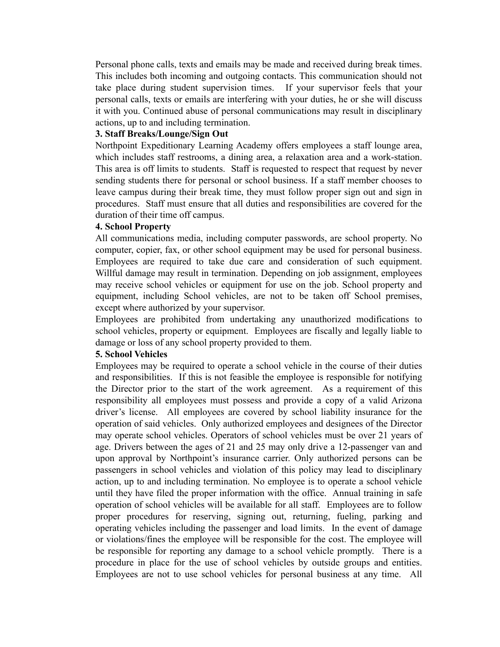Personal phone calls, texts and emails may be made and received during break times. This includes both incoming and outgoing contacts. This communication should not take place during student supervision times. If your supervisor feels that your personal calls, texts or emails are interfering with your duties, he or she will discuss it with you. Continued abuse of personal communications may result in disciplinary actions, up to and including termination.

#### **3. Staff Breaks/Lounge/Sign Out**

Northpoint Expeditionary Learning Academy offers employees a staff lounge area, which includes staff restrooms, a dining area, a relaxation area and a work-station. This area is off limits to students. Staff is requested to respect that request by never sending students there for personal or school business. If a staff member chooses to leave campus during their break time, they must follow proper sign out and sign in procedures. Staff must ensure that all duties and responsibilities are covered for the duration of their time off campus.

#### **4. School Property**

All communications media, including computer passwords, are school property. No computer, copier, fax, or other school equipment may be used for personal business. Employees are required to take due care and consideration of such equipment. Willful damage may result in termination. Depending on job assignment, employees may receive school vehicles or equipment for use on the job. School property and equipment, including School vehicles, are not to be taken off School premises, except where authorized by your supervisor.

Employees are prohibited from undertaking any unauthorized modifications to school vehicles, property or equipment. Employees are fiscally and legally liable to damage or loss of any school property provided to them.

#### **5. School Vehicles**

Employees may be required to operate a school vehicle in the course of their duties and responsibilities. If this is not feasible the employee is responsible for notifying the Director prior to the start of the work agreement. As a requirement of this responsibility all employees must possess and provide a copy of a valid Arizona driver's license. All employees are covered by school liability insurance for the operation of said vehicles. Only authorized employees and designees of the Director may operate school vehicles. Operators of school vehicles must be over 21 years of age. Drivers between the ages of 21 and 25 may only drive a 12-passenger van and upon approval by Northpoint's insurance carrier. Only authorized persons can be passengers in school vehicles and violation of this policy may lead to disciplinary action, up to and including termination. No employee is to operate a school vehicle until they have filed the proper information with the office. Annual training in safe operation of school vehicles will be available for all staff. Employees are to follow proper procedures for reserving, signing out, returning, fueling, parking and operating vehicles including the passenger and load limits. In the event of damage or violations/fines the employee will be responsible for the cost. The employee will be responsible for reporting any damage to a school vehicle promptly. There is a procedure in place for the use of school vehicles by outside groups and entities. Employees are not to use school vehicles for personal business at any time. All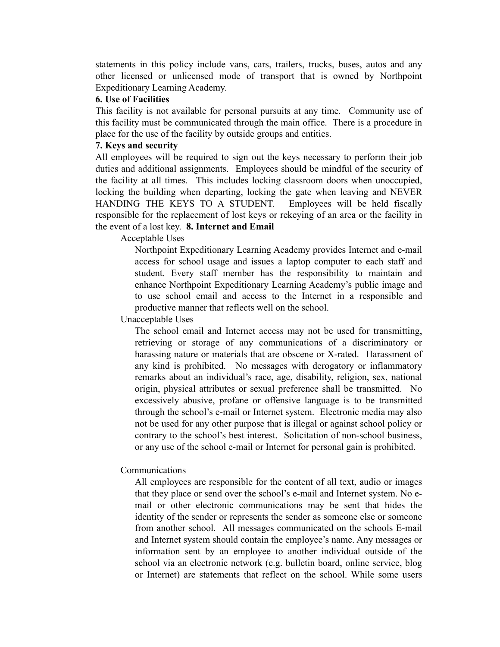statements in this policy include vans, cars, trailers, trucks, buses, autos and any other licensed or unlicensed mode of transport that is owned by Northpoint Expeditionary Learning Academy.

#### **6. Use of Facilities**

This facility is not available for personal pursuits at any time. Community use of this facility must be communicated through the main office. There is a procedure in place for the use of the facility by outside groups and entities.

#### **7. Keys and security**

All employees will be required to sign out the keys necessary to perform their job duties and additional assignments. Employees should be mindful of the security of the facility at all times. This includes locking classroom doors when unoccupied, locking the building when departing, locking the gate when leaving and NEVER HANDING THE KEYS TO A STUDENT. Employees will be held fiscally responsible for the replacement of lost keys or rekeying of an area or the facility in the event of a lost key. **8. Internet and Email**

Acceptable Uses

Northpoint Expeditionary Learning Academy provides Internet and e-mail access for school usage and issues a laptop computer to each staff and student. Every staff member has the responsibility to maintain and enhance Northpoint Expeditionary Learning Academy's public image and to use school email and access to the Internet in a responsible and productive manner that reflects well on the school.

Unacceptable Uses

The school email and Internet access may not be used for transmitting, retrieving or storage of any communications of a discriminatory or harassing nature or materials that are obscene or X-rated. Harassment of any kind is prohibited. No messages with derogatory or inflammatory remarks about an individual's race, age, disability, religion, sex, national origin, physical attributes or sexual preference shall be transmitted. No excessively abusive, profane or offensive language is to be transmitted through the school's e-mail or Internet system. Electronic media may also not be used for any other purpose that is illegal or against school policy or contrary to the school's best interest. Solicitation of non-school business, or any use of the school e-mail or Internet for personal gain is prohibited.

#### Communications

All employees are responsible for the content of all text, audio or images that they place or send over the school's e-mail and Internet system. No email or other electronic communications may be sent that hides the identity of the sender or represents the sender as someone else or someone from another school. All messages communicated on the schools E-mail and Internet system should contain the employee's name. Any messages or information sent by an employee to another individual outside of the school via an electronic network (e.g. bulletin board, online service, blog or Internet) are statements that reflect on the school. While some users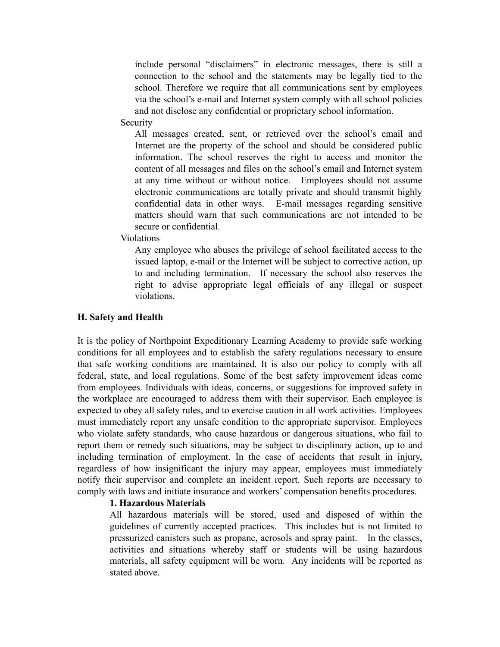include personal "disclaimers" in electronic messages, there is still a connection to the school and the statements may be legally tied to the school. Therefore we require that all communications sent by employees via the school's e-mail and Internet system comply with all school policies and not disclose any confidential or proprietary school information.

#### Security

All messages created, sent, or retrieved over the school's email and Internet are the property of the school and should be considered public information. The school reserves the right to access and monitor the content of all messages and files on the school's email and Internet system at any time without or without notice. Employees should not assume electronic communications are totally private and should transmit highly confidential data in other ways. E-mail messages regarding sensitive matters should warn that such communications are not intended to be secure or confidential.

Violations

Any employee who abuses the privilege of school facilitated access to the issued laptop, e-mail or the Internet will be subject to corrective action, up to and including termination. If necessary the school also reserves the right to advise appropriate legal officials of any illegal or suspect violations.

#### **H. Safety and Health**

It is the policy of Northpoint Expeditionary Learning Academy to provide safe working conditions for all employees and to establish the safety regulations necessary to ensure that safe working conditions are maintained. It is also our policy to comply with all federal, state, and local regulations. Some of the best safety improvement ideas come from employees. Individuals with ideas, concerns, or suggestions for improved safety in the workplace are encouraged to address them with their supervisor. Each employee is expected to obey all safety rules, and to exercise caution in all work activities. Employees must immediately report any unsafe condition to the appropriate supervisor. Employees who violate safety standards, who cause hazardous or dangerous situations, who fail to report them or remedy such situations, may be subject to disciplinary action, up to and including termination of employment. In the case of accidents that result in injury, regardless of how insignificant the injury may appear, employees must immediately notify their supervisor and complete an incident report. Such reports are necessary to comply with laws and initiate insurance and workers' compensation benefits procedures.

#### **1. Hazardous Materials**

All hazardous materials will be stored, used and disposed of within the guidelines of currently accepted practices. This includes but is not limited to pressurized canisters such as propane, aerosols and spray paint. In the classes, activities and situations whereby staff or students will be using hazardous materials, all safety equipment will be worn. Any incidents will be reported as stated above.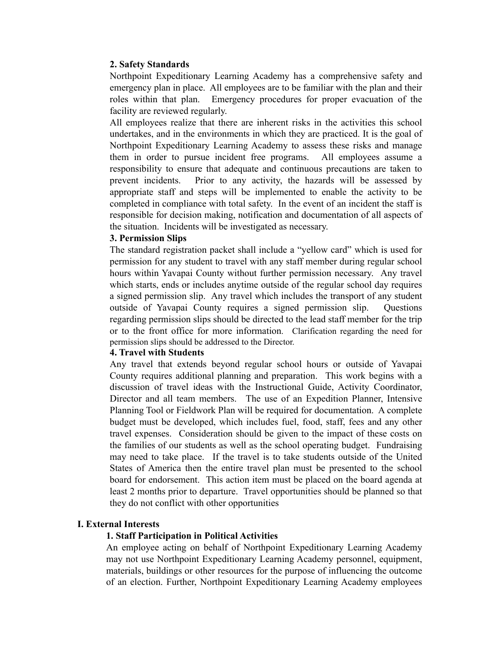#### **2. Safety Standards**

Northpoint Expeditionary Learning Academy has a comprehensive safety and emergency plan in place. All employees are to be familiar with the plan and their roles within that plan. Emergency procedures for proper evacuation of the facility are reviewed regularly.

All employees realize that there are inherent risks in the activities this school undertakes, and in the environments in which they are practiced. It is the goal of Northpoint Expeditionary Learning Academy to assess these risks and manage them in order to pursue incident free programs. All employees assume a responsibility to ensure that adequate and continuous precautions are taken to prevent incidents. Prior to any activity, the hazards will be assessed by appropriate staff and steps will be implemented to enable the activity to be completed in compliance with total safety. In the event of an incident the staff is responsible for decision making, notification and documentation of all aspects of the situation. Incidents will be investigated as necessary.

#### **3. Permission Slips**

The standard registration packet shall include a "yellow card" which is used for permission for any student to travel with any staff member during regular school hours within Yavapai County without further permission necessary. Any travel which starts, ends or includes anytime outside of the regular school day requires a signed permission slip. Any travel which includes the transport of any student outside of Yavapai County requires a signed permission slip. Questions regarding permission slips should be directed to the lead staff member for the trip or to the front office for more information. Clarification regarding the need for permission slips should be addressed to the Director.

#### **4. Travel with Students**

Any travel that extends beyond regular school hours or outside of Yavapai County requires additional planning and preparation. This work begins with a discussion of travel ideas with the Instructional Guide, Activity Coordinator, Director and all team members. The use of an Expedition Planner, Intensive Planning Tool or Fieldwork Plan will be required for documentation. A complete budget must be developed, which includes fuel, food, staff, fees and any other travel expenses. Consideration should be given to the impact of these costs on the families of our students as well as the school operating budget. Fundraising may need to take place. If the travel is to take students outside of the United States of America then the entire travel plan must be presented to the school board for endorsement. This action item must be placed on the board agenda at least 2 months prior to departure. Travel opportunities should be planned so that they do not conflict with other opportunities

#### **I. External Interests**

#### **1. Staff Participation in Political Activities**

An employee acting on behalf of Northpoint Expeditionary Learning Academy may not use Northpoint Expeditionary Learning Academy personnel, equipment, materials, buildings or other resources for the purpose of influencing the outcome of an election. Further, Northpoint Expeditionary Learning Academy employees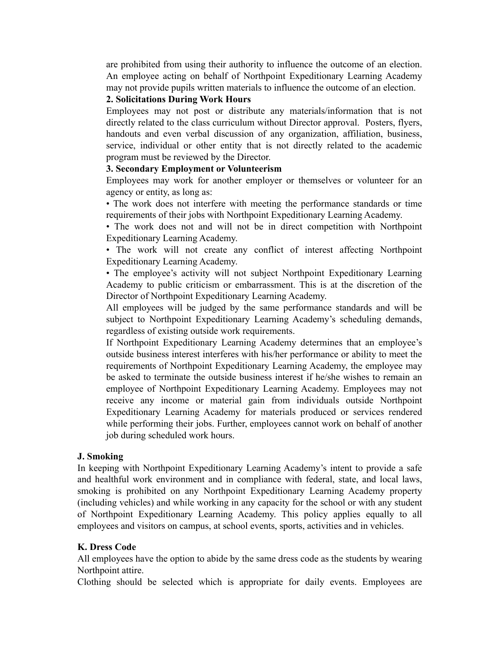are prohibited from using their authority to influence the outcome of an election. An employee acting on behalf of Northpoint Expeditionary Learning Academy may not provide pupils written materials to influence the outcome of an election.

#### **2. Solicitations During Work Hours**

Employees may not post or distribute any materials/information that is not directly related to the class curriculum without Director approval. Posters, flyers, handouts and even verbal discussion of any organization, affiliation, business, service, individual or other entity that is not directly related to the academic program must be reviewed by the Director.

#### **3. Secondary Employment or Volunteerism**

Employees may work for another employer or themselves or volunteer for an agency or entity, as long as:

• The work does not interfere with meeting the performance standards or time requirements of their jobs with Northpoint Expeditionary Learning Academy.

• The work does not and will not be in direct competition with Northpoint Expeditionary Learning Academy.

• The work will not create any conflict of interest affecting Northpoint Expeditionary Learning Academy.

• The employee's activity will not subject Northpoint Expeditionary Learning Academy to public criticism or embarrassment. This is at the discretion of the Director of Northpoint Expeditionary Learning Academy.

All employees will be judged by the same performance standards and will be subject to Northpoint Expeditionary Learning Academy's scheduling demands, regardless of existing outside work requirements.

If Northpoint Expeditionary Learning Academy determines that an employee's outside business interest interferes with his/her performance or ability to meet the requirements of Northpoint Expeditionary Learning Academy, the employee may be asked to terminate the outside business interest if he/she wishes to remain an employee of Northpoint Expeditionary Learning Academy. Employees may not receive any income or material gain from individuals outside Northpoint Expeditionary Learning Academy for materials produced or services rendered while performing their jobs. Further, employees cannot work on behalf of another job during scheduled work hours.

#### **J. Smoking**

In keeping with Northpoint Expeditionary Learning Academy's intent to provide a safe and healthful work environment and in compliance with federal, state, and local laws, smoking is prohibited on any Northpoint Expeditionary Learning Academy property (including vehicles) and while working in any capacity for the school or with any student of Northpoint Expeditionary Learning Academy. This policy applies equally to all employees and visitors on campus, at school events, sports, activities and in vehicles.

#### **K. Dress Code**

All employees have the option to abide by the same dress code as the students by wearing Northpoint attire.

Clothing should be selected which is appropriate for daily events. Employees are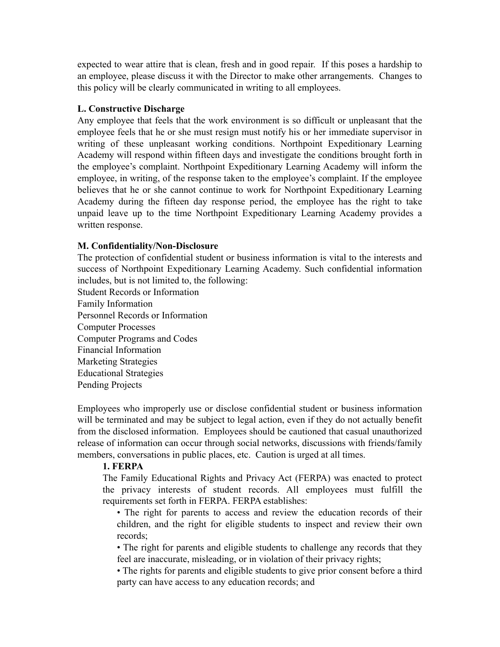expected to wear attire that is clean, fresh and in good repair. If this poses a hardship to an employee, please discuss it with the Director to make other arrangements. Changes to this policy will be clearly communicated in writing to all employees.

#### **L. Constructive Discharge**

Any employee that feels that the work environment is so difficult or unpleasant that the employee feels that he or she must resign must notify his or her immediate supervisor in writing of these unpleasant working conditions. Northpoint Expeditionary Learning Academy will respond within fifteen days and investigate the conditions brought forth in the employee's complaint. Northpoint Expeditionary Learning Academy will inform the employee, in writing, of the response taken to the employee's complaint. If the employee believes that he or she cannot continue to work for Northpoint Expeditionary Learning Academy during the fifteen day response period, the employee has the right to take unpaid leave up to the time Northpoint Expeditionary Learning Academy provides a written response.

#### **M. Confidentiality/Non-Disclosure**

The protection of confidential student or business information is vital to the interests and success of Northpoint Expeditionary Learning Academy. Such confidential information includes, but is not limited to, the following:

Student Records or Information Family Information Personnel Records or Information Computer Processes Computer Programs and Codes Financial Information Marketing Strategies Educational Strategies Pending Projects

Employees who improperly use or disclose confidential student or business information will be terminated and may be subject to legal action, even if they do not actually benefit from the disclosed information. Employees should be cautioned that casual unauthorized release of information can occur through social networks, discussions with friends/family members, conversations in public places, etc. Caution is urged at all times.

#### **1. FERPA**

The Family Educational Rights and Privacy Act (FERPA) was enacted to protect the privacy interests of student records. All employees must fulfill the requirements set forth in FERPA. FERPA establishes:

• The right for parents to access and review the education records of their children, and the right for eligible students to inspect and review their own records;

• The right for parents and eligible students to challenge any records that they feel are inaccurate, misleading, or in violation of their privacy rights;

• The rights for parents and eligible students to give prior consent before a third party can have access to any education records; and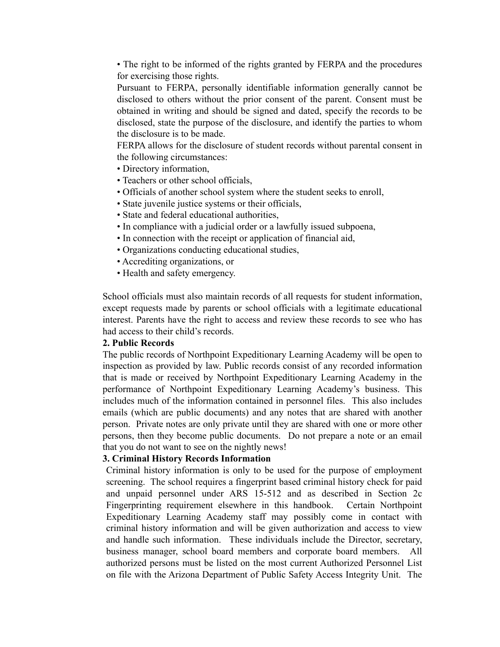• The right to be informed of the rights granted by FERPA and the procedures for exercising those rights.

Pursuant to FERPA, personally identifiable information generally cannot be disclosed to others without the prior consent of the parent. Consent must be obtained in writing and should be signed and dated, specify the records to be disclosed, state the purpose of the disclosure, and identify the parties to whom the disclosure is to be made.

FERPA allows for the disclosure of student records without parental consent in the following circumstances:

- Directory information,
- Teachers or other school officials,
- Officials of another school system where the student seeks to enroll,
- State juvenile justice systems or their officials,
- State and federal educational authorities,
- In compliance with a judicial order or a lawfully issued subpoena,
- In connection with the receipt or application of financial aid,
- Organizations conducting educational studies,
- Accrediting organizations, or
- Health and safety emergency.

School officials must also maintain records of all requests for student information, except requests made by parents or school officials with a legitimate educational interest. Parents have the right to access and review these records to see who has had access to their child's records.

#### **2. Public Records**

The public records of Northpoint Expeditionary Learning Academy will be open to inspection as provided by law. Public records consist of any recorded information that is made or received by Northpoint Expeditionary Learning Academy in the performance of Northpoint Expeditionary Learning Academy's business. This includes much of the information contained in personnel files. This also includes emails (which are public documents) and any notes that are shared with another person. Private notes are only private until they are shared with one or more other persons, then they become public documents. Do not prepare a note or an email that you do not want to see on the nightly news!

#### **3. Criminal History Records Information**

Criminal history information is only to be used for the purpose of employment screening. The school requires a fingerprint based criminal history check for paid and unpaid personnel under ARS 15-512 and as described in Section 2c Fingerprinting requirement elsewhere in this handbook. Certain Northpoint Expeditionary Learning Academy staff may possibly come in contact with criminal history information and will be given authorization and access to view and handle such information. These individuals include the Director, secretary, business manager, school board members and corporate board members. All authorized persons must be listed on the most current Authorized Personnel List on file with the Arizona Department of Public Safety Access Integrity Unit. The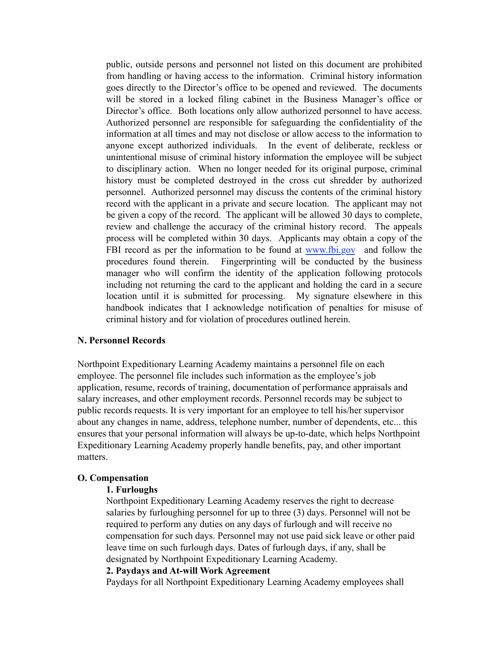public, outside persons and personnel not listed on this document are prohibited from handling or having access to the information. Criminal history information goes directly to the Director's office to be opened and reviewed. The documents will be stored in a locked filing cabinet in the Business Manager's office or Director's office. Both locations only allow authorized personnel to have access. Authorized personnel are responsible for safeguarding the confidentiality of the information at all times and may not disclose or allow access to the information to anyone except authorized individuals. In the event of deliberate, reckless or unintentional misuse of criminal history information the employee will be subject to disciplinary action. When no longer needed for its original purpose, criminal history must be completed destroyed in the cross cut shredder by authorized personnel. Authorized personnel may discuss the contents of the criminal history record with the applicant in a private and secure location. The applicant may not be given a copy of the record. The applicant will be allowed 30 days to complete, review and challenge the accuracy of the criminal history record. The appeals process will be completed within 30 days. Applicants may obtain a copy of the FBI record as per the information to be found at [www.fbi.gov](http://www.fbi.gov/) and follow the procedures found therein. Fingerprinting will be conducted by the business manager who will confirm the identity of the application following protocols including not returning the card to the applicant and holding the card in a secure location until it is submitted for processing. My signature elsewhere in this handbook indicates that I acknowledge notification of penalties for misuse of criminal history and for violation of procedures outlined herein.

#### **N. Personnel Records**

Northpoint Expeditionary Learning Academy maintains a personnel file on each employee. The personnel file includes such information as the employee's job application, resume, records of training, documentation of performance appraisals and salary increases, and other employment records. Personnel records may be subject to public records requests. It is very important for an employee to tell his/her supervisor about any changes in name, address, telephone number, number of dependents, etc... this ensures that your personal information will always be up-to-date, which helps Northpoint Expeditionary Learning Academy properly handle benefits, pay, and other important matters.

#### **O. Compensation**

#### **1. Furloughs**

Northpoint Expeditionary Learning Academy reserves the right to decrease salaries by furloughing personnel for up to three (3) days. Personnel will not be required to perform any duties on any days of furlough and will receive no compensation for such days. Personnel may not use paid sick leave or other paid leave time on such furlough days. Dates of furlough days, if any, shall be designated by Northpoint Expeditionary Learning Academy.

#### **2. Paydays and At-will Work Agreement**

Paydays for all Northpoint Expeditionary Learning Academy employees shall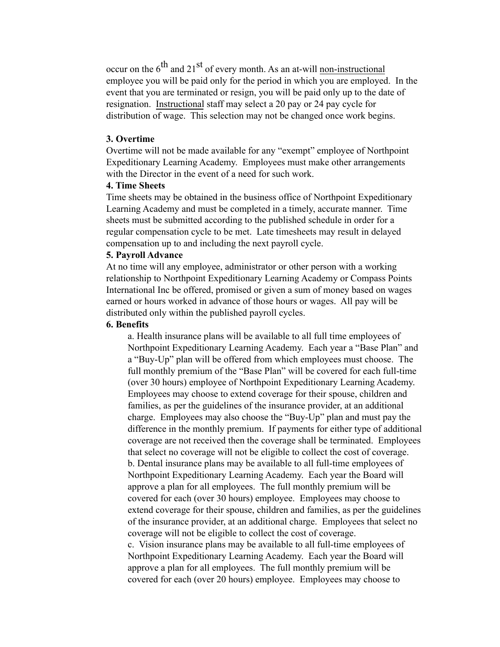occur on the  $6^{th}$  and  $21^{st}$  of every month. As an at-will non-instructional employee you will be paid only for the period in which you are employed. In the event that you are terminated or resign, you will be paid only up to the date of resignation. Instructional staff may select a 20 pay or 24 pay cycle for distribution of wage. This selection may not be changed once work begins.

#### **3. Overtime**

Overtime will not be made available for any "exempt" employee of Northpoint Expeditionary Learning Academy. Employees must make other arrangements with the Director in the event of a need for such work.

#### **4. Time Sheets**

Time sheets may be obtained in the business office of Northpoint Expeditionary Learning Academy and must be completed in a timely, accurate manner. Time sheets must be submitted according to the published schedule in order for a regular compensation cycle to be met. Late timesheets may result in delayed compensation up to and including the next payroll cycle.

#### **5. Payroll Advance**

At no time will any employee, administrator or other person with a working relationship to Northpoint Expeditionary Learning Academy or Compass Points International Inc be offered, promised or given a sum of money based on wages earned or hours worked in advance of those hours or wages. All pay will be distributed only within the published payroll cycles.

#### **6. Benefits**

a. Health insurance plans will be available to all full time employees of Northpoint Expeditionary Learning Academy. Each year a "Base Plan" and a "Buy-Up" plan will be offered from which employees must choose. The full monthly premium of the "Base Plan" will be covered for each full-time (over 30 hours) employee of Northpoint Expeditionary Learning Academy. Employees may choose to extend coverage for their spouse, children and families, as per the guidelines of the insurance provider, at an additional charge. Employees may also choose the "Buy-Up" plan and must pay the difference in the monthly premium. If payments for either type of additional coverage are not received then the coverage shall be terminated. Employees that select no coverage will not be eligible to collect the cost of coverage. b. Dental insurance plans may be available to all full-time employees of Northpoint Expeditionary Learning Academy. Each year the Board will approve a plan for all employees. The full monthly premium will be covered for each (over 30 hours) employee. Employees may choose to extend coverage for their spouse, children and families, as per the guidelines of the insurance provider, at an additional charge. Employees that select no coverage will not be eligible to collect the cost of coverage.

c. Vision insurance plans may be available to all full-time employees of Northpoint Expeditionary Learning Academy. Each year the Board will approve a plan for all employees. The full monthly premium will be covered for each (over 20 hours) employee. Employees may choose to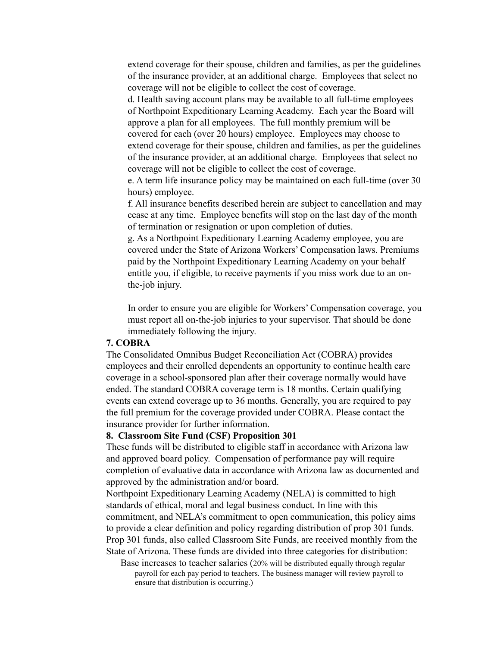extend coverage for their spouse, children and families, as per the guidelines of the insurance provider, at an additional charge. Employees that select no coverage will not be eligible to collect the cost of coverage.

d. Health saving account plans may be available to all full-time employees of Northpoint Expeditionary Learning Academy. Each year the Board will approve a plan for all employees. The full monthly premium will be covered for each (over 20 hours) employee. Employees may choose to extend coverage for their spouse, children and families, as per the guidelines of the insurance provider, at an additional charge. Employees that select no coverage will not be eligible to collect the cost of coverage.

e. A term life insurance policy may be maintained on each full-time (over 30 hours) employee.

f. All insurance benefits described herein are subject to cancellation and may cease at any time. Employee benefits will stop on the last day of the month of termination or resignation or upon completion of duties.

g. As a Northpoint Expeditionary Learning Academy employee, you are covered under the State of Arizona Workers' Compensation laws. Premiums paid by the Northpoint Expeditionary Learning Academy on your behalf entitle you, if eligible, to receive payments if you miss work due to an onthe-job injury.

In order to ensure you are eligible for Workers' Compensation coverage, you must report all on-the-job injuries to your supervisor. That should be done immediately following the injury.

#### **7. COBRA**

The Consolidated Omnibus Budget Reconciliation Act (COBRA) provides employees and their enrolled dependents an opportunity to continue health care coverage in a school-sponsored plan after their coverage normally would have ended. The standard COBRA coverage term is 18 months. Certain qualifying events can extend coverage up to 36 months. Generally, you are required to pay the full premium for the coverage provided under COBRA. Please contact the insurance provider for further information.

#### **8. Classroom Site Fund (CSF) Proposition 301**

These funds will be distributed to eligible staff in accordance with Arizona law and approved board policy. Compensation of performance pay will require completion of evaluative data in accordance with Arizona law as documented and approved by the administration and/or board.

Northpoint Expeditionary Learning Academy (NELA) is committed to high standards of ethical, moral and legal business conduct. In line with this commitment, and NELA's commitment to open communication, this policy aims to provide a clear definition and policy regarding distribution of prop 301 funds. Prop 301 funds, also called Classroom Site Funds, are received monthly from the State of Arizona. These funds are divided into three categories for distribution:

Base increases to teacher salaries (20% will be distributed equally through regular payroll for each pay period to teachers. The business manager will review payroll to ensure that distribution is occurring.)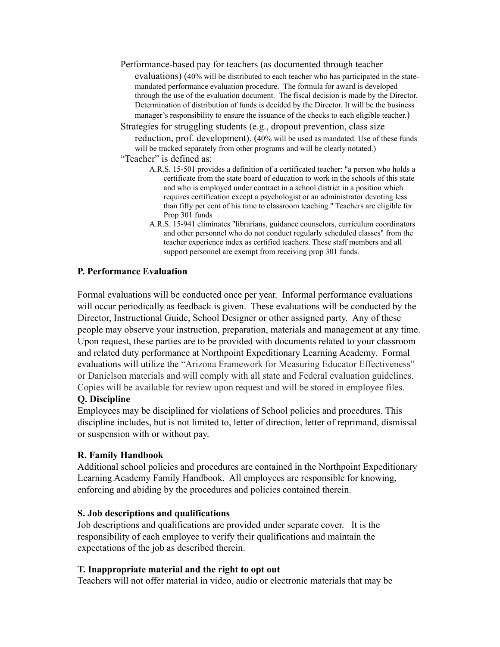Performance-based pay for teachers (as documented through teacher

evaluations) (40% will be distributed to each teacher who has participated in the statemandated performance evaluation procedure. The formula for award is developed through the use of the evaluation document. The fiscal decision is made by the Director. Determination of distribution of funds is decided by the Director. It will be the business

manager's responsibility to ensure the issuance of the checks to each eligible teacher.)

Strategies for struggling students (e.g., dropout prevention, class size reduction, prof. development). (40% will be used as mandated. Use of these funds will be tracked separately from other programs and will be clearly notated.)

- "Teacher" is defined as:
	- A.R.S. 15-501 provides a definition of a certificated teacher: "a person who holds a certificate from the state board of education to work in the schools of this state and who is employed under contract in a school district in a position which requires certification except a psychologist or an administrator devoting less than fifty per cent of his time to classroom teaching." Teachers are eligible for Prop 301 funds
	- A.R.S. 15-941 eliminates "librarians, guidance counselors, curriculum coordinators and other personnel who do not conduct regularly scheduled classes" from the teacher experience index as certified teachers. These staff members and all support personnel are exempt from receiving prop 301 funds.

#### **P. Performance Evaluation**

Formal evaluations will be conducted once per year. Informal performance evaluations will occur periodically as feedback is given. These evaluations will be conducted by the Director, Instructional Guide, School Designer or other assigned party. Any of these people may observe your instruction, preparation, materials and management at any time. Upon request, these parties are to be provided with documents related to your classroom and related duty performance at Northpoint Expeditionary Learning Academy. Formal evaluations will utilize the "Arizona Framework for Measuring Educator Effectiveness" or Danielson materials and will comply with all state and Federal evaluation guidelines. Copies will be available for review upon request and will be stored in employee files.

#### **Q. Discipline**

Employees may be disciplined for violations of School policies and procedures. This discipline includes, but is not limited to, letter of direction, letter of reprimand, dismissal or suspension with or without pay.

#### **R. Family Handbook**

Additional school policies and procedures are contained in the Northpoint Expeditionary Learning Academy Family Handbook. All employees are responsible for knowing, enforcing and abiding by the procedures and policies contained therein.

#### **S. Job descriptions and qualifications**

Job descriptions and qualifications are provided under separate cover. It is the responsibility of each employee to verify their qualifications and maintain the expectations of the job as described therein.

#### **T. Inappropriate material and the right to opt out**

Teachers will not offer material in video, audio or electronic materials that may be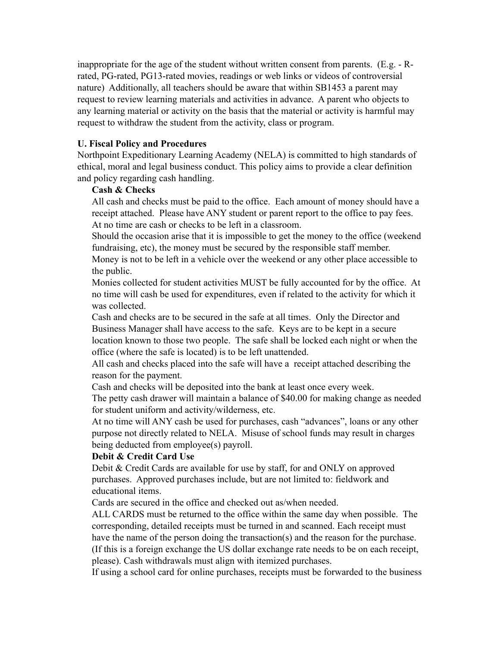inappropriate for the age of the student without written consent from parents. (E.g. - Rrated, PG-rated, PG13-rated movies, readings or web links or videos of controversial nature) Additionally, all teachers should be aware that within SB1453 a parent may request to review learning materials and activities in advance. A parent who objects to any learning material or activity on the basis that the material or activity is harmful may request to withdraw the student from the activity, class or program.

#### **U. Fiscal Policy and Procedures**

Northpoint Expeditionary Learning Academy (NELA) is committed to high standards of ethical, moral and legal business conduct. This policy aims to provide a clear definition and policy regarding cash handling.

#### **Cash & Checks**

All cash and checks must be paid to the office. Each amount of money should have a receipt attached. Please have ANY student or parent report to the office to pay fees. At no time are cash or checks to be left in a classroom.

Should the occasion arise that it is impossible to get the money to the office (weekend fundraising, etc), the money must be secured by the responsible staff member.

Money is not to be left in a vehicle over the weekend or any other place accessible to the public.

Monies collected for student activities MUST be fully accounted for by the office. At no time will cash be used for expenditures, even if related to the activity for which it was collected.

Cash and checks are to be secured in the safe at all times. Only the Director and Business Manager shall have access to the safe. Keys are to be kept in a secure location known to those two people. The safe shall be locked each night or when the office (where the safe is located) is to be left unattended.

All cash and checks placed into the safe will have a receipt attached describing the reason for the payment.

Cash and checks will be deposited into the bank at least once every week.

The petty cash drawer will maintain a balance of \$40.00 for making change as needed for student uniform and activity/wilderness, etc.

At no time will ANY cash be used for purchases, cash "advances", loans or any other purpose not directly related to NELA. Misuse of school funds may result in charges being deducted from employee(s) payroll.

#### **Debit & Credit Card Use**

Debit & Credit Cards are available for use by staff, for and ONLY on approved purchases. Approved purchases include, but are not limited to: fieldwork and educational items.

Cards are secured in the office and checked out as/when needed.

ALL CARDS must be returned to the office within the same day when possible. The corresponding, detailed receipts must be turned in and scanned. Each receipt must have the name of the person doing the transaction(s) and the reason for the purchase. (If this is a foreign exchange the US dollar exchange rate needs to be on each receipt, please). Cash withdrawals must align with itemized purchases.

If using a school card for online purchases, receipts must be forwarded to the business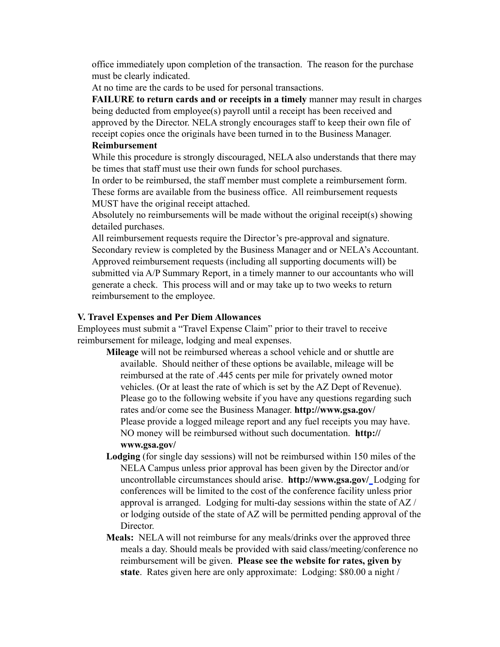office immediately upon completion of the transaction. The reason for the purchase must be clearly indicated.

At no time are the cards to be used for personal transactions.

**FAILURE to return cards and or receipts in a timely** manner may result in charges being deducted from employee(s) payroll until a receipt has been received and approved by the Director. NELA strongly encourages staff to keep their own file of receipt copies once the originals have been turned in to the Business Manager.

#### **Reimbursement**

While this procedure is strongly discouraged, NELA also understands that there may be times that staff must use their own funds for school purchases.

In order to be reimbursed, the staff member must complete a reimbursement form. These forms are available from the business office. All reimbursement requests MUST have the original receipt attached.

Absolutely no reimbursements will be made without the original receipt(s) showing detailed purchases.

All reimbursement requests require the Director's pre-approval and signature. Secondary review is completed by the Business Manager and or NELA's Accountant. Approved reimbursement requests (including all supporting documents will) be submitted via A/P Summary Report, in a timely manner to our accountants who will generate a check. This process will and or may take up to two weeks to return reimbursement to the employee.

#### **V. Travel Expenses and Per Diem Allowances**

Employees must submit a "Travel Expense Claim" prior to their travel to receive reimbursement for mileage, lodging and meal expenses.

- **Mileage** will not be reimbursed whereas a school vehicle and or shuttle are available. Should neither of these options be available, mileage will be reimbursed at the rate of .445 cents per mile for privately owned motor vehicles. (Or at least the rate of which is set by the AZ Dept of Revenue). Please go to the following website if you have any questions regarding such rates and/or come see the Business Manager. **<http://www.gsa.gov/>** Please provide a logged mileage report and any fuel receipts you may have. NO money will be reimbursed without such documentation. **[http://](http://www.gsa.gov/) [www.gsa.gov/](http://www.gsa.gov/)**
- **Lodging** (for single day sessions) will not be reimbursed within 150 miles of the NELA Campus unless prior approval has been given by the Director and/or uncontrollable circumstances should arise. **<http://www.gsa.gov/>**Lodging for conferences will be limited to the cost of the conference facility unless prior approval is arranged. Lodging for multi-day sessions within the state of AZ / or lodging outside of the state of AZ will be permitted pending approval of the Director.
- **Meals:** NELA will not reimburse for any meals/drinks over the approved three meals a day. Should meals be provided with said class/meeting/conference no reimbursement will be given. **Please see the website for rates, given by state**. Rates given here are only approximate: Lodging: \$80.00 a night /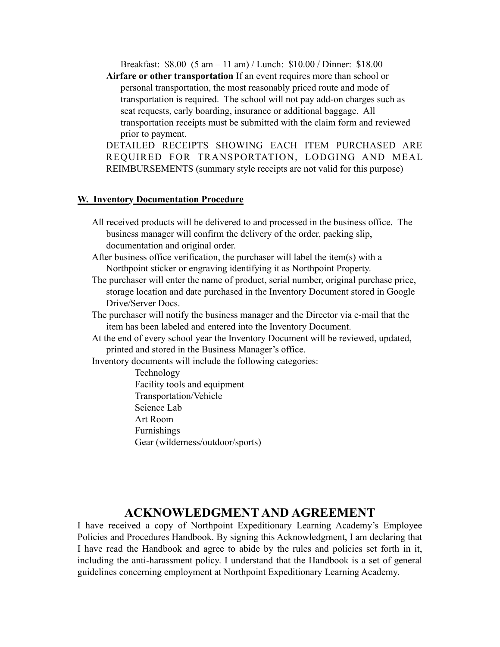Breakfast: \$8.00 (5 am – 11 am) / Lunch: \$10.00 / Dinner: \$18.00

**Airfare or other transportation** If an event requires more than school or personal transportation, the most reasonably priced route and mode of transportation is required. The school will not pay add-on charges such as seat requests, early boarding, insurance or additional baggage. All transportation receipts must be submitted with the claim form and reviewed prior to payment.

DETAILED RECEIPTS SHOWING EACH ITEM PURCHASED ARE REQUIRED FOR TRANSPORTATION, LODGING AND MEAL REIMBURSEMENTS (summary style receipts are not valid for this purpose)

#### **W. Inventory Documentation Procedure**

- All received products will be delivered to and processed in the business office. The business manager will confirm the delivery of the order, packing slip, documentation and original order.
- After business office verification, the purchaser will label the item(s) with a Northpoint sticker or engraving identifying it as Northpoint Property.
- The purchaser will enter the name of product, serial number, original purchase price, storage location and date purchased in the Inventory Document stored in Google Drive/Server Docs.
- The purchaser will notify the business manager and the Director via e-mail that the item has been labeled and entered into the Inventory Document.
- At the end of every school year the Inventory Document will be reviewed, updated, printed and stored in the Business Manager's office.

Inventory documents will include the following categories:

Technology Facility tools and equipment Transportation/Vehicle Science Lab Art Room Furnishings Gear (wilderness/outdoor/sports)

### **ACKNOWLEDGMENT AND AGREEMENT**

I have received a copy of Northpoint Expeditionary Learning Academy's Employee Policies and Procedures Handbook. By signing this Acknowledgment, I am declaring that I have read the Handbook and agree to abide by the rules and policies set forth in it, including the anti-harassment policy. I understand that the Handbook is a set of general guidelines concerning employment at Northpoint Expeditionary Learning Academy.